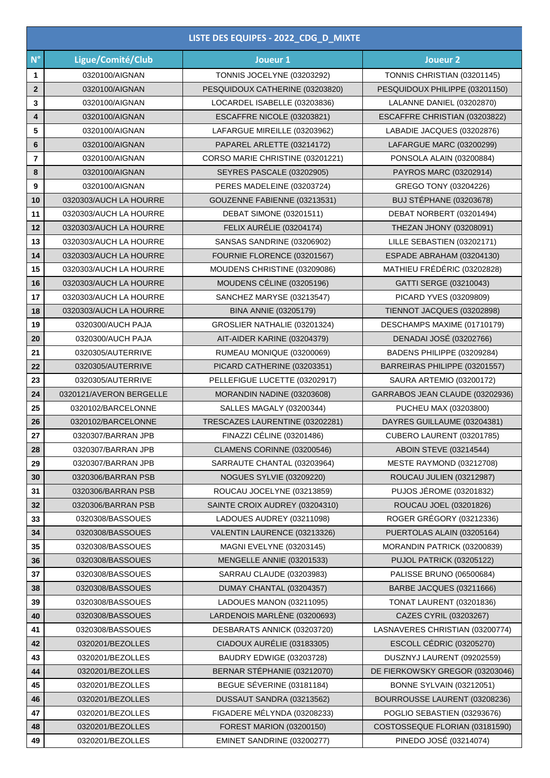|                 |                                      | LISTE DES EQUIPES - 2022 CDG D MIXTE                 |                                                             |
|-----------------|--------------------------------------|------------------------------------------------------|-------------------------------------------------------------|
| $N^{\circ}$     | Ligue/Comité/Club                    | Joueur 1                                             | Joueur <sub>2</sub>                                         |
| 1               | 0320100/AIGNAN                       | <b>TONNIS JOCELYNE (03203292)</b>                    | TONNIS CHRISTIAN (03201145)                                 |
| $\mathbf{2}$    | 0320100/AIGNAN                       | PESQUIDOUX CATHERINE (03203820)                      | PESQUIDOUX PHILIPPE (03201150)                              |
| 3               | 0320100/AIGNAN                       | LOCARDEL ISABELLE (03203836)                         | LALANNE DANIEL (03202870)                                   |
| 4               | 0320100/AIGNAN                       | ESCAFFRE NICOLE (03203821)                           | ESCAFFRE CHRISTIAN (03203822)                               |
| 5               | 0320100/AIGNAN                       | LAFARGUE MIREILLE (03203962)                         | LABADIE JACQUES (03202876)                                  |
| $6\phantom{1}6$ | 0320100/AIGNAN                       | PAPAREL ARLETTE (03214172)                           | LAFARGUE MARC (03200299)                                    |
| $\overline{7}$  | 0320100/AIGNAN                       | CORSO MARIE CHRISTINE (03201221)                     | PONSOLA ALAIN (03200884)                                    |
| 8               | 0320100/AIGNAN                       | SEYRES PASCALE (03202905)                            | PAYROS MARC (03202914)                                      |
| 9               | 0320100/AIGNAN                       | PERES MADELEINE (03203724)                           | GREGO TONY (03204226)                                       |
| 10              | 0320303/AUCH LA HOURRE               | GOUZENNE FABIENNE (03213531)                         | <b>BUJ STÉPHANE (03203678)</b>                              |
| 11              | 0320303/AUCH LA HOURRE               | <b>DEBAT SIMONE (03201511)</b>                       | DEBAT NORBERT (03201494)                                    |
| 12              | 0320303/AUCH LA HOURRE               | <b>FELIX AURÉLIE (03204174)</b>                      | THEZAN JHONY (03208091)                                     |
| 13              | 0320303/AUCH LA HOURRE               | SANSAS SANDRINE (03206902)                           | LILLE SEBASTIEN (03202171)                                  |
| 14              | 0320303/AUCH LA HOURRE               | FOURNIE FLORENCE (03201567)                          | ESPADE ABRAHAM (03204130)                                   |
| 15              | 0320303/AUCH LA HOURRE               | MOUDENS CHRISTINE (03209086)                         | MATHIEU FRÉDÉRIC (03202828)                                 |
| 16              | 0320303/AUCH LA HOURRE               | MOUDENS CÉLINE (03205196)                            | GATTI SERGE (03210043)                                      |
| 17              | 0320303/AUCH LA HOURRE               | SANCHEZ MARYSE (03213547)                            | PICARD YVES (03209809)                                      |
| 18              | 0320303/AUCH LA HOURRE               | BINA ANNIE (03205179)                                | TIENNOT JACQUES (03202898)                                  |
| 19              | 0320300/AUCH PAJA                    | GROSLIER NATHALIE (03201324)                         | DESCHAMPS MAXIME (01710179)                                 |
| 20              | 0320300/AUCH PAJA                    | AIT-AIDER KARINE (03204379)                          | DENADAI JOSÉ (03202766)                                     |
| 21              | 0320305/AUTERRIVE                    | RUMEAU MONIQUE (03200069)                            | BADENS PHILIPPE (03209284)                                  |
| 22              | 0320305/AUTERRIVE                    | PICARD CATHERINE (03203351)                          | BARREIRAS PHILIPPE (03201557)                               |
| 23              | 0320305/AUTERRIVE                    | PELLEFIGUE LUCETTE (03202917)                        | SAURA ARTEMIO (03200172)                                    |
| 24              | 0320121/AVERON BERGELLE              | MORANDIN NADINE (03203608)                           | GARRABOS JEAN CLAUDE (03202936)                             |
| 25              | 0320102/BARCELONNE                   | SALLES MAGALY (03200344)                             | PUCHEU MAX (03203800)                                       |
| 26              | 0320102/BARCELONNE                   | TRESCAZES LAURENTINE (03202281)                      | DAYRES GUILLAUME (03204381)                                 |
| 27              | 0320307/BARRAN JPB                   | FINAZZI CÉLINE (03201486)                            | CUBERO LAURENT (03201785)                                   |
| 28              | 0320307/BARRAN JPB                   | CLAMENS CORINNE (03200546)                           | <b>ABOIN STEVE (03214544)</b>                               |
| 29              | 0320307/BARRAN JPB                   | SARRAUTE CHANTAL (03203964)                          | MESTE RAYMOND (03212708)                                    |
| 30              | 0320306/BARRAN PSB                   | <b>NOGUES SYLVIE (03209220)</b>                      | ROUCAU JULIEN (03212987)                                    |
| 31              | 0320306/BARRAN PSB                   | ROUCAU JOCELYNE (03213859)                           | <b>PUJOS JÉROME (03201832)</b>                              |
| 32              | 0320306/BARRAN PSB                   | SAINTE CROIX AUDREY (03204310)                       | ROUCAU JOEL (03201826)                                      |
| 33              | 0320308/BASSOUES                     | LADOUES AUDREY (03211098)                            | ROGER GRÉGORY (03212336)                                    |
| 34              | 0320308/BASSOUES                     | VALENTIN LAURENCE (03213326)                         | PUERTOLAS ALAIN (03205164)                                  |
| 35              | 0320308/BASSOUES                     | MAGNI EVELYNE (03203145)                             | MORANDIN PATRICK (03200839)                                 |
| 36              | 0320308/BASSOUES                     | <b>MENGELLE ANNIE (03201533)</b>                     | <b>PUJOL PATRICK (03205122)</b>                             |
| 37              | 0320308/BASSOUES                     | SARRAU CLAUDE (03203983)                             | PALISSE BRUNO (06500684)                                    |
| 38              | 0320308/BASSOUES<br>0320308/BASSOUES | DUMAY CHANTAL (03204357)<br>LADOUES MANON (03211095) | BARBE JACQUES (03211666)<br><b>TONAT LAURENT (03201836)</b> |
| 39              | 0320308/BASSOUES                     | LARDENOIS MARLENE (03200693)                         | CAZES CYRIL (03203267)                                      |
| 40              | 0320308/BASSOUES                     | DESBARATS ANNICK (03203720)                          | LASNAVERES CHRISTIAN (03200774)                             |
| 41<br>42        | 0320201/BEZOLLES                     | CIADOUX AURÉLIE (03183305)                           | ESCOLL CÉDRIC (03205270)                                    |
| 43              | 0320201/BEZOLLES                     | BAUDRY EDWIGE (03203728)                             | DUSZNYJ LAURENT (09202559)                                  |
| 44              | 0320201/BEZOLLES                     | BERNAR STÉPHANIE (03212070)                          | DE FIERKOWSKY GREGOR (03203046)                             |
| 45              | 0320201/BEZOLLES                     | BEGUE SÉVERINE (03181184)                            | <b>BONNE SYLVAIN (03212051)</b>                             |
| 46              | 0320201/BEZOLLES                     | DUSSAUT SANDRA (03213562)                            | BOURROUSSE LAURENT (03208236)                               |
| 47              | 0320201/BEZOLLES                     | FIGADERE MÉLYNDA (03208233)                          | POGLIO SEBASTIEN (03293676)                                 |
| 48              | 0320201/BEZOLLES                     | <b>FOREST MARION (03200150)</b>                      | COSTOSSEQUE FLORIAN (03181590)                              |
| 49              | 0320201/BEZOLLES                     | EMINET SANDRINE (03200277)                           | PINEDO JOSÉ (03214074)                                      |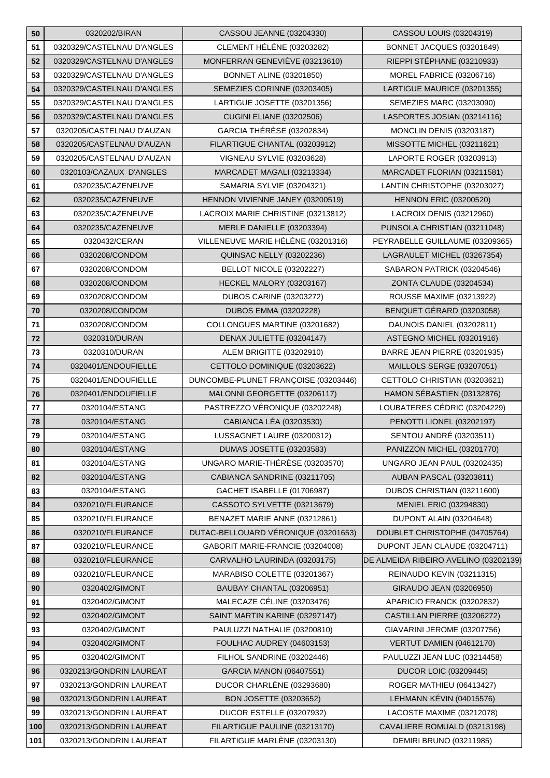| 50  | 0320202/BIRAN              | CASSOU JEANNE (03204330)             | CASSOU LOUIS (03204319)               |
|-----|----------------------------|--------------------------------------|---------------------------------------|
| 51  | 0320329/CASTELNAU D'ANGLES | CLEMENT HÉLÉNE (03203282)            | BONNET JACQUES (03201849)             |
| 52  | 0320329/CASTELNAU D'ANGLES | MONFERRAN GENEVIÈVE (03213610)       | RIEPPI STÉPHANE (03210933)            |
| 53  | 0320329/CASTELNAU D'ANGLES | <b>BONNET ALINE (03201850)</b>       | MOREL FABRICE (03206716)              |
| 54  | 0320329/CASTELNAU D'ANGLES | SEMEZIES CORINNE (03203405)          | LARTIGUE MAURICE (03201355)           |
| 55  | 0320329/CASTELNAU D'ANGLES | LARTIGUE JOSETTE (03201356)          | SEMEZIES MARC (03203090)              |
| 56  | 0320329/CASTELNAU D'ANGLES | <b>CUGINI ELIANE (03202506)</b>      | LASPORTES JOSIAN (03214116)           |
| 57  | 0320205/CASTELNAU D'AUZAN  | <b>GARCIA THÉRÈSE (03202834)</b>     | <b>MONCLIN DENIS (03203187)</b>       |
| 58  | 0320205/CASTELNAU D'AUZAN  | FILARTIGUE CHANTAL (03203912)        | MISSOTTE MICHEL (03211621)            |
| 59  | 0320205/CASTELNAU D'AUZAN  | VIGNEAU SYLVIE (03203628)            | LAPORTE ROGER (03203913)              |
| 60  | 0320103/CAZAUX D'ANGLES    | MARCADET MAGALI (03213334)           | MARCADET FLORIAN (03211581)           |
| 61  | 0320235/CAZENEUVE          | SAMARIA SYLVIE (03204321)            | LANTIN CHRISTOPHE (03203027)          |
| 62  | 0320235/CAZENEUVE          | HENNON VIVIENNE JANEY (03200519)     | <b>HENNON ERIC (03200520)</b>         |
| 63  | 0320235/CAZENEUVE          | LACROIX MARIE CHRISTINE (03213812)   | LACROIX DENIS (03212960)              |
| 64  | 0320235/CAZENEUVE          | MERLE DANIELLE (03203394)            | PUNSOLA CHRISTIAN (03211048)          |
| 65  | 0320432/CERAN              | VILLENEUVE MARIE HÉLÉNE (03201316)   | PEYRABELLE GUILLAUME (03209365)       |
| 66  | 0320208/CONDOM             | <b>QUINSAC NELLY (03202236)</b>      | LAGRAULET MICHEL (03267354)           |
| 67  | 0320208/CONDOM             | BELLOT NICOLE (03202227)             | SABARON PATRICK (03204546)            |
| 68  | 0320208/CONDOM             | HECKEL MALORY (03203167)             | ZONTA CLAUDE (03204534)               |
| 69  | 0320208/CONDOM             | <b>DUBOS CARINE (03203272)</b>       | ROUSSE MAXIME (03213922)              |
| 70  | 0320208/CONDOM             | DUBOS EMMA (03202228)                | BENQUET GÉRARD (03203058)             |
| 71  | 0320208/CONDOM             | COLLONGUES MARTINE (03201682)        | DAUNOIS DANIEL (03202811)             |
| 72  | 0320310/DURAN              | DENAX JULIETTE (03204147)            | ASTEGNO MICHEL (03201916)             |
| 73  | 0320310/DURAN              | ALEM BRIGITTE (03202910)             | BARRE JEAN PIERRE (03201935)          |
| 74  | 0320401/ENDOUFIELLE        | CETTOLO DOMINIQUE (03203622)         | MAILLOLS SERGE (03207051)             |
| 75  | 0320401/ENDOUFIELLE        | DUNCOMBE-PLUNET FRANÇOISE (03203446) | CETTOLO CHRISTIAN (03203621)          |
| 76  | 0320401/ENDOUFIELLE        | MALONNI GEORGETTE (03206117)         | HAMON SÉBASTIEN (03132876)            |
| 77  | 0320104/ESTANG             | PASTREZZO VÉRONIQUE (03202248)       | LOUBATERES CÉDRIC (03204229)          |
| 78  | 0320104/ESTANG             | CABIANCA LÉA (03203530)              | PENOTTI LIONEL (03202197)             |
| 79  | 0320104/ESTANG             | LUSSAGNET LAURE (03200312)           | <b>SENTOU ANDRÉ (03203511)</b>        |
| 80  | 0320104/ESTANG             | <b>DUMAS JOSETTE (03203583)</b>      | PANIZZON MICHEL (03201770)            |
|     |                            |                                      |                                       |
| 81  | 0320104/ESTANG             | UNGARO MARIE-THÉRÈSE (03203570)      | UNGARO JEAN PAUL (03202435)           |
| 82  | 0320104/ESTANG             | CABIANCA SANDRINE (03211705)         | <b>AUBAN PASCAL (03203811)</b>        |
| 83  | 0320104/ESTANG             | GACHET ISABELLE (01706987)           | DUBOS CHRISTIAN (03211600)            |
| 84  | 0320210/FLEURANCE          | CASSOTO SYLVETTE (03213679)          | <b>MENIEL ERIC (03294830)</b>         |
| 85  | 0320210/FLEURANCE          | BENAZET MARIE ANNE (03212861)        | DUPONT ALAIN (03204648)               |
| 86  | 0320210/FLEURANCE          | DUTAC-BELLOUARD VÉRONIQUE (03201653) | DOUBLET CHRISTOPHE (04705764)         |
| 87  | 0320210/FLEURANCE          | GABORIT MARIE-FRANCIE (03204008)     | DUPONT JEAN CLAUDE (03204711)         |
| 88  | 0320210/FLEURANCE          | CARVALHO LAURINDA (03203175)         | DE ALMEIDA RIBEIRO AVELINO (03202139) |
| 89  | 0320210/FLEURANCE          | MARABISO COLETTE (03201367)          | REINAUDO KEVIN (03211315)             |
| 90  | 0320402/GIMONT             | BAUBAY CHANTAL (03206951)            | GIRAUDO JEAN (03206950)               |
| 91  | 0320402/GIMONT             | MALECAZE CÉLINE (03203476)           | APARICIO FRANCK (03202832)            |
| 92  | 0320402/GIMONT             | SAINT MARTIN KARINE (03297147)       | CASTILLAN PIERRE (03206272)           |
| 93  | 0320402/GIMONT             | PAULUZZI NATHALIE (03200810)         | GIAVARINI JEROME (03207756)           |
| 94  | 0320402/GIMONT             | FOULHAC AUDREY (04603153)            | VERTUT DAMIEN (04612170)              |
| 95  | 0320402/GIMONT             | FILHOL SANDRINE (03202446)           | PAULUZZI JEAN LUC (03214458)          |
| 96  | 0320213/GONDRIN LAUREAT    | GARCIA MANON (06407551)              | <b>DUCOR LOIC (03209445)</b>          |
| 97  | 0320213/GONDRIN LAUREAT    | DUCOR CHARLENE (03293680)            | ROGER MATHIEU (06413427)              |
| 98  | 0320213/GONDRIN LAUREAT    | BON JOSETTE (03203652)               | LEHMANN KÉVIN (04015576)              |
| 99  | 0320213/GONDRIN LAUREAT    | DUCOR ESTELLE (03207932)             | LACOSTE MAXIME (03212078)             |
| 100 | 0320213/GONDRIN LAUREAT    | FILARTIGUE PAULINE (03213170)        | CAVALIERE ROMUALD (03213198)          |
| 101 | 0320213/GONDRIN LAUREAT    | FILARTIGUE MARLÈNE (03203130)        | <b>DEMIRI BRUNO (03211985)</b>        |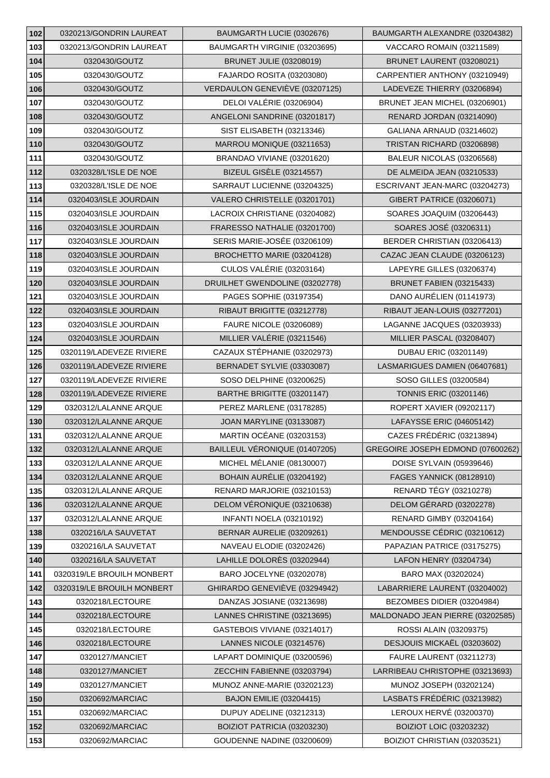| 102        | 0320213/GONDRIN LAUREAT            | BAUMGARTH LUCIE (0302676)                                 | BAUMGARTH ALEXANDRE (03204382)                                 |
|------------|------------------------------------|-----------------------------------------------------------|----------------------------------------------------------------|
| 103        | 0320213/GONDRIN LAUREAT            | BAUMGARTH VIRGINIE (03203695)                             | VACCARO ROMAIN (03211589)                                      |
| 104        | 0320430/GOUTZ                      | <b>BRUNET JULIE (03208019)</b>                            | BRUNET LAURENT (03208021)                                      |
| 105        | 0320430/GOUTZ                      | FAJARDO ROSITA (03203080)                                 | CARPENTIER ANTHONY (03210949)                                  |
| 106        | 0320430/GOUTZ                      | VERDAULON GENEVIÈVE (03207125)                            | LADEVEZE THIERRY (03206894)                                    |
| 107        | 0320430/GOUTZ                      | DELOI VALÉRIE (03206904)                                  | BRUNET JEAN MICHEL (03206901)                                  |
| 108        | 0320430/GOUTZ                      | ANGELONI SANDRINE (03201817)                              | <b>RENARD JORDAN (03214090)</b>                                |
| 109        | 0320430/GOUTZ                      | SIST ELISABETH (03213346)                                 | GALIANA ARNAUD (03214602)                                      |
| 110        | 0320430/GOUTZ                      | MARROU MONIQUE (03211653)                                 | TRISTAN RICHARD (03206898)                                     |
| 111        | 0320430/GOUTZ                      | BRANDAO VIVIANE (03201620)                                | BALEUR NICOLAS (03206568)                                      |
| 112        | 0320328/L'ISLE DE NOE              | BIZEUL GISÈLE (03214557)                                  | DE ALMEIDA JEAN (03210533)                                     |
| 113        | 0320328/L'ISLE DE NOE              | SARRAUT LUCIENNE (03204325)                               | ESCRIVANT JEAN-MARC (03204273)                                 |
| 114        | 0320403/ISLE JOURDAIN              | VALERO CHRISTELLE (03201701)                              | GIBERT PATRICE (03206071)                                      |
| 115        | 0320403/ISLE JOURDAIN              | LACROIX CHRISTIANE (03204082)                             | SOARES JOAQUIM (03206443)                                      |
| 116        | 0320403/ISLE JOURDAIN              | FRARESSO NATHALIE (03201700)                              | SOARES JOSÉ (03206311)                                         |
| 117        | 0320403/ISLE JOURDAIN              | SERIS MARIE-JOSÉE (03206109)                              | BERDER CHRISTIAN (03206413)                                    |
| 118        | 0320403/ISLE JOURDAIN              | BROCHETTO MARIE (03204128)                                | CAZAC JEAN CLAUDE (03206123)                                   |
| 119        | 0320403/ISLE JOURDAIN              | <b>CULOS VALÉRIE (03203164)</b>                           | LAPEYRE GILLES (03206374)                                      |
| 120        | 0320403/ISLE JOURDAIN              | DRUILHET GWENDOLINE (03202778)                            | <b>BRUNET FABIEN (03215433)</b>                                |
| 121        | 0320403/ISLE JOURDAIN              | PAGES SOPHIE (03197354)                                   | DANO AURÉLIEN (01141973)                                       |
| 122        | 0320403/ISLE JOURDAIN              | RIBAUT BRIGITTE (03212778)                                | RIBAUT JEAN-LOUIS (03277201)                                   |
| 123        | 0320403/ISLE JOURDAIN              | FAURE NICOLE (03206089)                                   | LAGANNE JACQUES (03203933)                                     |
| 124        | 0320403/ISLE JOURDAIN              | MILLIER VALÉRIE (03211546)                                | MILLIER PASCAL (03208407)                                      |
| 125        | 0320119/LADEVEZE RIVIERE           | CAZAUX STÉPHANIE (03202973)                               | DUBAU ERIC (03201149)                                          |
| 126        | 0320119/LADEVEZE RIVIERE           | BERNADET SYLVIE (03303087)                                | LASMARIGUES DAMIEN (06407681)                                  |
| 127        | 0320119/LADEVEZE RIVIERE           | SOSO DELPHINE (03200625)                                  | SOSO GILLES (03200584)                                         |
| 128        | 0320119/LADEVEZE RIVIERE           | BARTHE BRIGITTE (03201147)                                | <b>TONNIS ERIC (03201146)</b>                                  |
| 129        | 0320312/LALANNE ARQUE              | PEREZ MARLENE (03178285)                                  | ROPERT XAVIER (09202117)                                       |
| 130        | 0320312/LALANNE ARQUE              | <b>JOAN MARYLINE (03133087)</b>                           | LAFAYSSE ERIC (04605142)                                       |
| 131        | 0320312/LALANNE ARQUE              | <b>MARTIN OCÉANE (03203153)</b>                           | CAZES FRÉDÉRIC (03213894)                                      |
| 132        | 0320312/LALANNE ARQUE              | BAILLEUL VÉRONIQUE (01407205)                             | GREGOIRE JOSEPH EDMOND (07600262)                              |
| 133        | 0320312/LALANNE ARQUE              | MICHEL MÉLANIE (08130007)                                 | DOISE SYLVAIN (05939646)                                       |
| 134        | 0320312/LALANNE ARQUE              | BOHAIN AURÉLIE (03204192)                                 | <b>FAGES YANNICK (08128910)</b>                                |
| 135        | 0320312/LALANNE ARQUE              | RENARD MARJORIE (03210153)                                | RENARD TÉGY (03210278)                                         |
| 136        | 0320312/LALANNE ARQUE              | DELOM VÉRONIQUE (03210638)                                | DELOM GÉRARD (03202278)                                        |
| 137        | 0320312/LALANNE ARQUE              | INFANTI NOELA (03210192)                                  | <b>RENARD GIMBY (03204164)</b>                                 |
| 138        | 0320216/LA SAUVETAT                | BERNAR AURELIE (03209261)                                 | MENDOUSSE CÉDRIC (03210612)                                    |
| 139        | 0320216/LA SAUVETAT                | NAVEAU ELODIE (03202426)                                  | PAPAZIAN PATRICE (03175275)                                    |
| 140        | 0320216/LA SAUVETAT                | LAHILLE DOLORÈS (03202944)                                | LAFON HENRY (03204734)                                         |
| 141        |                                    |                                                           |                                                                |
| 142        | 0320319/LE BROUILH MONBERT         | BARO JOCELYNE (03202078)                                  | BARO MAX (03202024)                                            |
|            | 0320319/LE BROUILH MONBERT         | GHIRARDO GENEVIÈVE (03294942)                             | LABARRIERE LAURENT (03204002)                                  |
| 143        | 0320218/LECTOURE                   | DANZAS JOSIANE (03213698)                                 | BEZOMBES DIDIER (03204984)                                     |
| 144        | 0320218/LECTOURE                   | LANNES CHRISTINE (03213695)                               | MALDONADO JEAN PIERRE (03202585)                               |
| 145        | 0320218/LECTOURE                   | GASTEBOIS VIVIANE (03214017)                              | ROSSI ALAIN (03209375)                                         |
| 146        | 0320218/LECTOURE                   | LANNES NICOLE (03214576)                                  | DESJOUIS MICKAËL (03203602)                                    |
| 147        | 0320127/MANCIET                    | LAPART DOMINIQUE (03200596)                               | <b>FAURE LAURENT (03211273)</b>                                |
| 148        | 0320127/MANCIET                    | ZECCHIN FABIENNE (03203794)                               | LARRIBEAU CHRISTOPHE (03213693)                                |
| 149        | 0320127/MANCIET                    | MUNOZ ANNE-MARIE (03202123)                               | MUNOZ JOSEPH (03202124)                                        |
| 150        | 0320692/MARCIAC                    | <b>BAJON EMILIE (03204415)</b>                            | LASBATS FRÉDÉRIC (03213982)                                    |
| 151        | 0320692/MARCIAC                    | DUPUY ADELINE (03212313)                                  | LEROUX HERVÉ (03200370)                                        |
| 152<br>153 | 0320692/MARCIAC<br>0320692/MARCIAC | BOIZIOT PATRICIA (03203230)<br>GOUDENNE NADINE (03200609) | <b>BOIZIOT LOIC (03203232)</b><br>BOIZIOT CHRISTIAN (03203521) |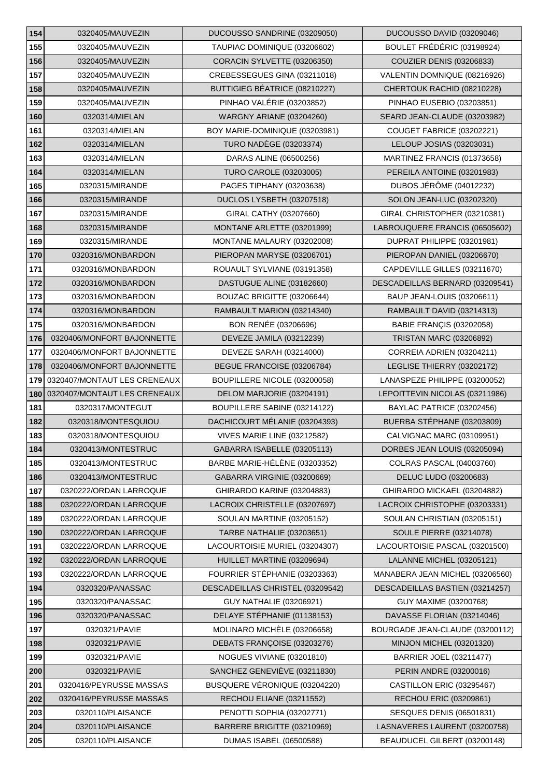| 154 | 0320405/MAUVEZIN             | DUCOUSSO SANDRINE (03209050)     | DUCOUSSO DAVID (03209046)       |
|-----|------------------------------|----------------------------------|---------------------------------|
| 155 | 0320405/MAUVEZIN             | TAUPIAC DOMINIQUE (03206602)     | BOULET FRÉDÉRIC (03198924)      |
| 156 | 0320405/MAUVEZIN             | CORACIN SYLVETTE (03206350)      | <b>COUZIER DENIS (03206833)</b> |
| 157 | 0320405/MAUVEZIN             | CREBESSEGUES GINA (03211018)     | VALENTIN DOMNIQUE (08216926)    |
| 158 | 0320405/MAUVEZIN             | BUTTIGIEG BÉATRICE (08210227)    | CHERTOUK RACHID (08210228)      |
| 159 | 0320405/MAUVEZIN             | PINHAO VALÉRIE (03203852)        | PINHAO EUSEBIO (03203851)       |
| 160 | 0320314/MIELAN               | WARGNY ARIANE (03204260)         | SEARD JEAN-CLAUDE (03203982)    |
| 161 | 0320314/MIELAN               | BOY MARIE-DOMINIQUE (03203981)   | COUGET FABRICE (03202221)       |
| 162 | 0320314/MIELAN               | <b>TURO NADÈGE (03203374)</b>    | LELOUP JOSIAS (03203031)        |
| 163 | 0320314/MIELAN               | DARAS ALINE (06500256)           | MARTINEZ FRANCIS (01373658)     |
| 164 | 0320314/MIELAN               | <b>TURO CAROLE (03203005)</b>    | PEREILA ANTOINE (03201983)      |
| 165 | 0320315/MIRANDE              | PAGES TIPHANY (03203638)         | <b>DUBOS JÉRÔME (04012232)</b>  |
| 166 | 0320315/MIRANDE              | DUCLOS LYSBETH (03207518)        | SOLON JEAN-LUC (03202320)       |
| 167 | 0320315/MIRANDE              | GIRAL CATHY (03207660)           | GIRAL CHRISTOPHER (03210381)    |
| 168 | 0320315/MIRANDE              | MONTANE ARLETTE (03201999)       | LABROUQUERE FRANCIS (06505602)  |
| 169 | 0320315/MIRANDE              | MONTANE MALAURY (03202008)       | DUPRAT PHILIPPE (03201981)      |
| 170 | 0320316/MONBARDON            | PIEROPAN MARYSE (03206701)       | PIEROPAN DANIEL (03206670)      |
| 171 | 0320316/MONBARDON            | ROUAULT SYLVIANE (03191358)      | CAPDEVILLE GILLES (03211670)    |
| 172 | 0320316/MONBARDON            | DASTUGUE ALINE (03182660)        | DESCADEILLAS BERNARD (03209541) |
| 173 | 0320316/MONBARDON            | BOUZAC BRIGITTE (03206644)       | BAUP JEAN-LOUIS (03206611)      |
| 174 | 0320316/MONBARDON            | RAMBAULT MARION (03214340)       | RAMBAULT DAVID (03214313)       |
| 175 | 0320316/MONBARDON            | BON RENÉE (03206696)             | <b>BABIE FRANÇIS (03202058)</b> |
| 176 | 0320406/MONFORT BAJONNETTE   | DEVEZE JAMILA (03212239)         | <b>TRISTAN MARC (03206892)</b>  |
| 177 | 0320406/MONFORT BAJONNETTE   | DEVEZE SARAH (03214000)          | CORREIA ADRIEN (03204211)       |
| 178 | 0320406/MONFORT BAJONNETTE   | BEGUE FRANCOISE (03206784)       | LEGLISE THIERRY (03202172)      |
| 179 | 0320407/MONTAUT LES CRENEAUX | BOUPILLERE NICOLE (03200058)     | LANASPEZE PHILIPPE (03200052)   |
| 180 | 0320407/MONTAUT LES CRENEAUX | DELOM MARJORIE (03204191)        | LEPOITTEVIN NICOLAS (03211986)  |
| 181 | 0320317/MONTEGUT             | BOUPILLERE SABINE (03214122)     | BAYLAC PATRICE (03202456)       |
| 182 | 0320318/MONTESQUIOU          | DACHICOURT MÉLANIE (03204393)    | BUERBA STÉPHANE (03203809)      |
| 183 | 0320318/MONTESQUIOU          | VIVES MARIE LINE (03212582)      | CALVIGNAC MARC (03109951)       |
| 184 | 0320413/MONTESTRUC           | GABARRA ISABELLE (03205113)      | DORBES JEAN LOUIS (03205094)    |
| 185 | 0320413/MONTESTRUC           | BARBE MARIE-HÉLÈNE (03203352)    | COLRAS PASCAL (04003760)        |
| 186 | 0320413/MONTESTRUC           | GABARRA VIRGINIE (03200669)      | DELUC LUDO (03200683)           |
| 187 | 0320222/ORDAN LARROQUE       | GHIRARDO KARINE (03204883)       | GHIRARDO MICKAEL (03204882)     |
| 188 | 0320222/ORDAN LARROQUE       | LACROIX CHRISTELLE (03207697)    | LACROIX CHRISTOPHE (03203331)   |
| 189 | 0320222/ORDAN LARROQUE       | SOULAN MARTINE (03205152)        | SOULAN CHRISTIAN (03205151)     |
| 190 | 0320222/ORDAN LARROQUE       | TARBE NATHALIE (03203651)        | <b>SOULE PIERRE (03214078)</b>  |
| 191 | 0320222/ORDAN LARROQUE       | LACOURTOISIE MURIEL (03204307)   | LACOURTOISIE PASCAL (03201500)  |
| 192 | 0320222/ORDAN LARROQUE       | HUILLET MARTINE (03209694)       | LALANNE MICHEL (03205121)       |
| 193 | 0320222/ORDAN LARROQUE       | FOURRIER STÉPHANIE (03203363)    | MANABERA JEAN MICHEL (03206560) |
| 194 | 0320320/PANASSAC             | DESCADEILLAS CHRISTEL (03209542) | DESCADEILLAS BASTIEN (03214257) |
| 195 | 0320320/PANASSAC             | <b>GUY NATHALIE (03206921)</b>   | GUY MAXIME (03200768)           |
| 196 | 0320320/PANASSAC             | DELAYE STÉPHANIE (01138153)      | DAVASSE FLORIAN (03214046)      |
| 197 | 0320321/PAVIE                | MOLINARO MICHÈLE (03206658)      | BOURGADE JEAN-CLAUDE (03200112) |
| 198 | 0320321/PAVIE                | DEBATS FRANÇOISE (03203276)      | MINJON MICHEL (03201320)        |
| 199 | 0320321/PAVIE                | NOGUES VIVIANE (03201810)        | <b>BARRIER JOEL (03211477)</b>  |
| 200 | 0320321/PAVIE                | SANCHEZ GENEVIEVE (03211830)     | PERIN ANDRE (03200016)          |
| 201 | 0320416/PEYRUSSE MASSAS      | BUSQUERE VÉRONIQUE (03204220)    | CASTILLON ERIC (03295467)       |
| 202 | 0320416/PEYRUSSE MASSAS      | RECHOU ELIANE (03211552)         | RECHOU ERIC (03209861)          |
| 203 | 0320110/PLAISANCE            | PENOTTI SOPHIA (03202771)        | <b>SESQUES DENIS (06501831)</b> |
| 204 | 0320110/PLAISANCE            | BARRERE BRIGITTE (03210969)      | LASNAVERES LAURENT (03200758)   |
| 205 | 0320110/PLAISANCE            | <b>DUMAS ISABEL (06500588)</b>   | BEAUDUCEL GILBERT (03200148)    |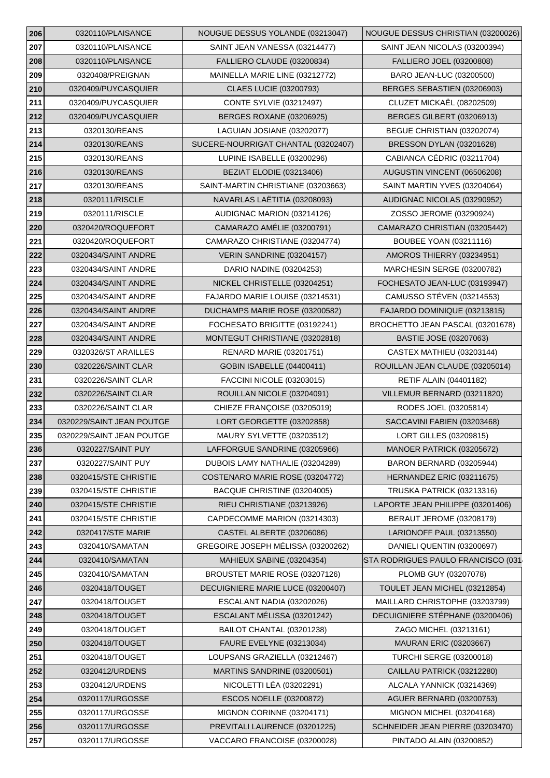| 206 | 0320110/PLAISANCE         | NOUGUE DESSUS YOLANDE (03213047)    | NOUGUE DESSUS CHRISTIAN (03200026) |
|-----|---------------------------|-------------------------------------|------------------------------------|
| 207 | 0320110/PLAISANCE         | SAINT JEAN VANESSA (03214477)       | SAINT JEAN NICOLAS (03200394)      |
| 208 | 0320110/PLAISANCE         | FALLIERO CLAUDE (03200834)          | FALLIERO JOEL (03200808)           |
| 209 | 0320408/PREIGNAN          | MAINELLA MARIE LINE (03212772)      | BARO JEAN-LUC (03200500)           |
| 210 | 0320409/PUYCASQUIER       | <b>CLAES LUCIE (03200793)</b>       | BERGES SEBASTIEN (03206903)        |
| 211 | 0320409/PUYCASQUIER       | <b>CONTE SYLVIE (03212497)</b>      | CLUZET MICKAËL (08202509)          |
| 212 | 0320409/PUYCASQUIER       | <b>BERGES ROXANE (03206925)</b>     | BERGES GILBERT (03206913)          |
| 213 | 0320130/REANS             | LAGUIAN JOSIANE (03202077)          | BEGUE CHRISTIAN (03202074)         |
| 214 | 0320130/REANS             | SUCERE-NOURRIGAT CHANTAL (03202407) | BRESSON DYLAN (03201628)           |
| 215 | 0320130/REANS             | LUPINE ISABELLE (03200296)          | CABIANCA CÉDRIC (03211704)         |
| 216 | 0320130/REANS             | BEZIAT ELODIE (03213406)            | AUGUSTIN VINCENT (06506208)        |
| 217 | 0320130/REANS             | SAINT-MARTIN CHRISTIANE (03203663)  | SAINT MARTIN YVES (03204064)       |
| 218 | 0320111/RISCLE            | NAVARLAS LAËTITIA (03208093)        | AUDIGNAC NICOLAS (03290952)        |
| 219 | 0320111/RISCLE            | AUDIGNAC MARION (03214126)          | ZOSSO JEROME (03290924)            |
| 220 | 0320420/ROQUEFORT         | CAMARAZO AMÉLIE (03200791)          | CAMARAZO CHRISTIAN (03205442)      |
| 221 | 0320420/ROQUEFORT         | CAMARAZO CHRISTIANE (03204774)      | <b>BOUBEE YOAN (03211116)</b>      |
| 222 | 0320434/SAINT ANDRE       | VERIN SANDRINE (03204157)           | AMOROS THIERRY (03234951)          |
| 223 | 0320434/SAINT ANDRE       | DARIO NADINE (03204253)             | MARCHESIN SERGE (03200782)         |
| 224 | 0320434/SAINT ANDRE       | NICKEL CHRISTELLE (03204251)        | FOCHESATO JEAN-LUC (03193947)      |
| 225 | 0320434/SAINT ANDRE       | FAJARDO MARIE LOUISE (03214531)     | CAMUSSO STÉVEN (03214553)          |
| 226 | 0320434/SAINT ANDRE       | DUCHAMPS MARIE ROSE (03200582)      | FAJARDO DOMINIQUE (03213815)       |
| 227 | 0320434/SAINT ANDRE       | FOCHESATO BRIGITTE (03192241)       | BROCHETTO JEAN PASCAL (03201678)   |
| 228 | 0320434/SAINT ANDRE       | MONTEGUT CHRISTIANE (03202818)      | BASTIE JOSE (03207063)             |
| 229 | 0320326/ST ARAILLES       | <b>RENARD MARIE (03201751)</b>      | CASTEX MATHIEU (03203144)          |
| 230 | 0320226/SAINT CLAR        | <b>GOBIN ISABELLE (04400411)</b>    | ROUILLAN JEAN CLAUDE (03205014)    |
| 231 | 0320226/SAINT CLAR        | FACCINI NICOLE (03203015)           | <b>RETIF ALAIN (04401182)</b>      |
| 232 | 0320226/SAINT CLAR        | ROUILLAN NICOLE (03204091)          | VILLEMUR BERNARD (03211820)        |
| 233 | 0320226/SAINT CLAR        | CHIEZE FRANÇOISE (03205019)         | RODES JOEL (03205814)              |
| 234 | 0320229/SAINT JEAN POUTGE | LORT GEORGETTE (03202858)           | SACCAVINI FABIEN (03203468)        |
| 235 | 0320229/SAINT JEAN POUTGE | MAURY SYLVETTE (03203512)           | LORT GILLES (03209815)             |
| 236 | 0320227/SAINT PUY         | LAFFORGUE SANDRINE (03205966)       | MANOER PATRICK (03205672)          |
| 237 | 0320227/SAINT PUY         | DUBOIS LAMY NATHALIE (03204289)     | BARON BERNARD (03205944)           |
| 238 | 0320415/STE CHRISTIE      | COSTENARO MARIE ROSE (03204772)     | HERNANDEZ ERIC (03211675)          |
| 239 | 0320415/STE CHRISTIE      | BACQUE CHRISTINE (03204005)         | TRUSKA PATRICK (03213316)          |
| 240 | 0320415/STE CHRISTIE      | RIEU CHRISTIANE (03213926)          | LAPORTE JEAN PHILIPPE (03201406)   |
| 241 | 0320415/STE CHRISTIE      | CAPDECOMME MARION (03214303)        | BERAUT JEROME (03208179)           |
| 242 | 0320417/STE MARIE         | CASTEL ALBERTE (03206086)           | LARIONOFF PAUL (03213550)          |
| 243 | 0320410/SAMATAN           | GREGOIRE JOSEPH MÉLISSA (03200262)  | DANIELI QUENTIN (03200697)         |
| 244 | 0320410/SAMATAN           | MAHIEUX SABINE (03204354)           | STA RODRIGUES PAULO FRANCISCO (031 |
| 245 | 0320410/SAMATAN           | BROUSTET MARIE ROSE (03207126)      | PLOMB GUY (03207078)               |
| 246 | 0320418/TOUGET            | DECUIGNIERE MARIE LUCE (03200407)   | TOULET JEAN MICHEL (03212854)      |
| 247 | 0320418/TOUGET            | ESCALANT NADIA (03202026)           | MAILLARD CHRISTOPHE (03203799)     |
| 248 | 0320418/TOUGET            | ESCALANT MÉLISSA (03201242)         | DECUIGNIERE STÉPHANE (03200406)    |
| 249 | 0320418/TOUGET            | BAILOT CHANTAL (03201238)           | ZAGO MICHEL (03213161)             |
| 250 | 0320418/TOUGET            | <b>FAURE EVELYNE (03213034)</b>     | <b>MAURAN ERIC (03203667)</b>      |
| 251 | 0320418/TOUGET            | LOUPSANS GRAZIELLA (03212467)       | <b>TURCHI SERGE (03200018)</b>     |
| 252 | 0320412/URDENS            | MARTINS SANDRINE (03200501)         | CAILLAU PATRICK (03212280)         |
| 253 | 0320412/URDENS            | NICOLETTI LÉA (03202291)            | ALCALA YANNICK (03214369)          |
| 254 | 0320117/URGOSSE           | ESCOS NOELLE (03200872)             | <b>AGUER BERNARD (03200753)</b>    |
| 255 | 0320117/URGOSSE           | MIGNON CORINNE (03204171)           | MIGNON MICHEL (03204168)           |
| 256 | 0320117/URGOSSE           | PREVITALI LAURENCE (03201225)       | SCHNEIDER JEAN PIERRE (03203470)   |
| 257 | 0320117/URGOSSE           | VACCARO FRANCOISE (03200028)        | PINTADO ALAIN (03200852)           |